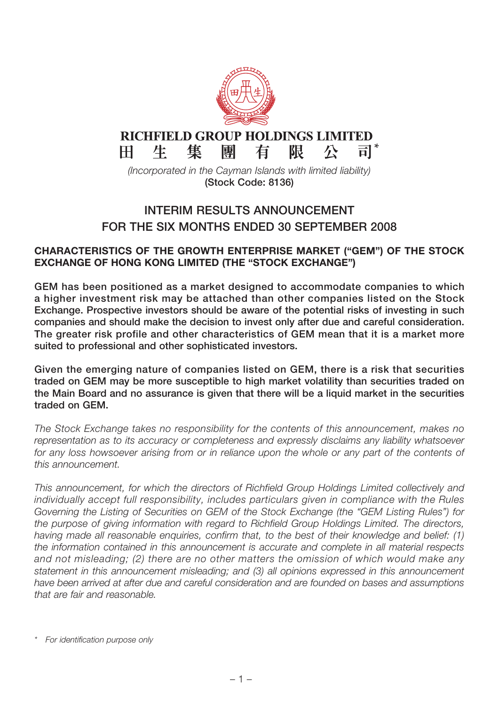

## **RICHFIELD GROUP HOLDINGS LIMITED**  $H$

 $\overline{\overline{\mathsf{H}}}$   $^*$ 隼 生 團 有 限 尽

(Incorporated in the Cayman Islands with limited liability) **(Stock Code: 8136)**

# **INTERIM RESULTS ANNOUNCEMENT FOR THE SIX MONTHS ENDED 30 SEPTEMBER 2008**

### **CHARACTERISTICS OF THE GROWTH ENTERPRISE MARKET ("GEM") OF THE STOCK EXCHANGE OF HONG KONG LIMITED (THE "STOCK EXCHANGE")**

**GEM has been positioned as a market designed to accommodate companies to which a higher investment risk may be attached than other companies listed on the Stock Exchange. Prospective investors should be aware of the potential risks of investing in such companies and should make the decision to invest only after due and careful consideration. The greater risk profile and other characteristics of GEM mean that it is a market more suited to professional and other sophisticated investors.**

**Given the emerging nature of companies listed on GEM, there is a risk that securities traded on GEM may be more susceptible to high market volatility than securities traded on the Main Board and no assurance is given that there will be a liquid market in the securities traded on GEM.**

The Stock Exchange takes no responsibility for the contents of this announcement, makes no representation as to its accuracy or completeness and expressly disclaims any liability whatsoever for any loss howsoever arising from or in reliance upon the whole or any part of the contents of this announcement.

This announcement, for which the directors of Richfield Group Holdings Limited collectively and individually accept full responsibility, includes particulars given in compliance with the Rules Governing the Listing of Securities on GEM of the Stock Exchange (the "GEM Listing Rules") for the purpose of giving information with regard to Richfield Group Holdings Limited. The directors, having made all reasonable enquiries, confirm that, to the best of their knowledge and belief: (1) the information contained in this announcement is accurate and complete in all material respects and not misleading; (2) there are no other matters the omission of which would make any statement in this announcement misleading; and (3) all opinions expressed in this announcement have been arrived at after due and careful consideration and are founded on bases and assumptions that are fair and reasonable.

For identification purpose only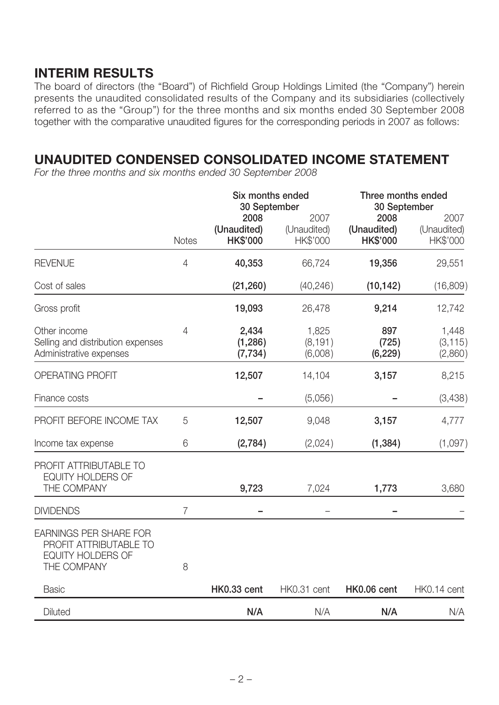# **INTERIM RESULTS**

The board of directors (the "Board") of Richfield Group Holdings Limited (the "Company") herein presents the unaudited consolidated results of the Company and its subsidiaries (collectively referred to as the "Group") for the three months and six months ended 30 September 2008 together with the comparative unaudited figures for the corresponding periods in 2007 as follows:

# **UNAUDITED CONDENSED CONSOLIDATED INCOME STATEMENT**

For the three months and six months ended 30 September 2008

|                                                                                                    |                | Six months ended<br>30 September       | Three months ended<br>30 September |                                        |                                 |
|----------------------------------------------------------------------------------------------------|----------------|----------------------------------------|------------------------------------|----------------------------------------|---------------------------------|
|                                                                                                    | <b>Notes</b>   | 2008<br>(Unaudited)<br><b>HK\$'000</b> | 2007<br>(Unaudited)<br>HK\$'000    | 2008<br>(Unaudited)<br><b>HK\$'000</b> | 2007<br>(Unaudited)<br>HK\$'000 |
| <b>REVENUE</b>                                                                                     | 4              | 40,353                                 | 66,724                             | 19,356                                 | 29,551                          |
| Cost of sales                                                                                      |                | (21, 260)                              | (40, 246)                          | (10, 142)                              | (16,809)                        |
| Gross profit                                                                                       |                | 19,093                                 | 26,478                             | 9,214                                  | 12,742                          |
| Other income<br>Selling and distribution expenses<br>Administrative expenses                       | 4              | 2,434<br>(1, 286)<br>(7, 734)          | 1,825<br>(8, 191)<br>(6,008)       | 897<br>(725)<br>(6, 229)               | 1,448<br>(3, 115)<br>(2,860)    |
| <b>OPERATING PROFIT</b>                                                                            |                | 12,507                                 | 14,104                             | 3,157                                  | 8,215                           |
| Finance costs                                                                                      |                |                                        | (5,056)                            |                                        | (3,438)                         |
| PROFIT BEFORE INCOME TAX                                                                           | 5              | 12,507                                 | 9,048                              | 3,157                                  | 4,777                           |
| Income tax expense                                                                                 | 6              | (2,784)                                | (2,024)                            | (1, 384)                               | (1,097)                         |
| PROFIT ATTRIBUTABLE TO<br>EQUITY HOLDERS OF<br>THE COMPANY                                         |                | 9,723                                  | 7,024                              | 1,773                                  | 3,680                           |
| <b>DIVIDENDS</b>                                                                                   | $\overline{7}$ |                                        |                                    |                                        |                                 |
| <b>EARNINGS PER SHARE FOR</b><br>PROFIT ATTRIBUTABLE TO<br><b>EQUITY HOLDERS OF</b><br>THE COMPANY | 8              |                                        |                                    |                                        |                                 |
| <b>Basic</b>                                                                                       |                | HK0.33 cent                            | HK0.31 cent                        | HK0.06 cent                            | HK0.14 cent                     |
| <b>Diluted</b>                                                                                     |                | N/A                                    | N/A                                | N/A                                    | N/A                             |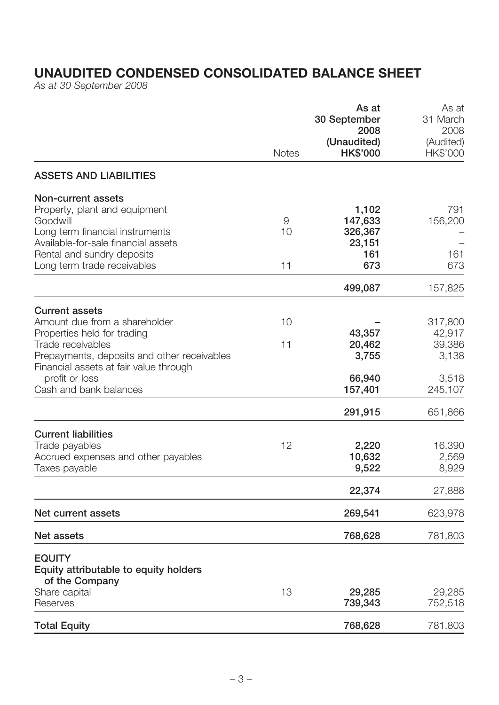# **UNAUDITED CONDENSED CONSOLIDATED BALANCE SHEET**

As at 30 September 2008

|                                                                                                                                                                                                        |               | As at<br>30 September<br>2008                       | As at<br>31 March<br>2008            |
|--------------------------------------------------------------------------------------------------------------------------------------------------------------------------------------------------------|---------------|-----------------------------------------------------|--------------------------------------|
|                                                                                                                                                                                                        | <b>Notes</b>  | (Unaudited)<br><b>HK\$'000</b>                      | (Audited)<br>HK\$'000                |
| <b>ASSETS AND LIABILITIES</b>                                                                                                                                                                          |               |                                                     |                                      |
| Non-current assets<br>Property, plant and equipment<br>Goodwill<br>Long term financial instruments<br>Available-for-sale financial assets<br>Rental and sundry deposits<br>Long term trade receivables | 9<br>10<br>11 | 1,102<br>147,633<br>326,367<br>23,151<br>161<br>673 | 791<br>156,200<br>161<br>673         |
|                                                                                                                                                                                                        |               | 499,087                                             | 157,825                              |
| <b>Current assets</b><br>Amount due from a shareholder<br>Properties held for trading<br>Trade receivables<br>Prepayments, deposits and other receivables                                              | 10<br>11      | 43,357<br>20,462<br>3,755                           | 317,800<br>42,917<br>39,386<br>3,138 |
| Financial assets at fair value through<br>profit or loss<br>Cash and bank balances                                                                                                                     |               | 66,940<br>157,401                                   | 3,518<br>245,107                     |
|                                                                                                                                                                                                        |               | 291,915                                             | 651,866                              |
| <b>Current liabilities</b><br>Trade payables<br>Accrued expenses and other payables<br>Taxes payable                                                                                                   | 12            | 2,220<br>10,632<br>9,522                            | 16,390<br>2,569<br>8,929             |
|                                                                                                                                                                                                        |               | 22,374                                              | 27,888                               |
| Net current assets                                                                                                                                                                                     |               | 269,541                                             | 623,978                              |
| <b>Net assets</b>                                                                                                                                                                                      |               | 768,628                                             | 781,803                              |
| <b>EQUITY</b><br>Equity attributable to equity holders<br>of the Company                                                                                                                               |               |                                                     |                                      |
| Share capital<br>Reserves                                                                                                                                                                              | 13            | 29,285<br>739,343                                   | 29,285<br>752,518                    |
| <b>Total Equity</b>                                                                                                                                                                                    |               | 768,628                                             | 781,803                              |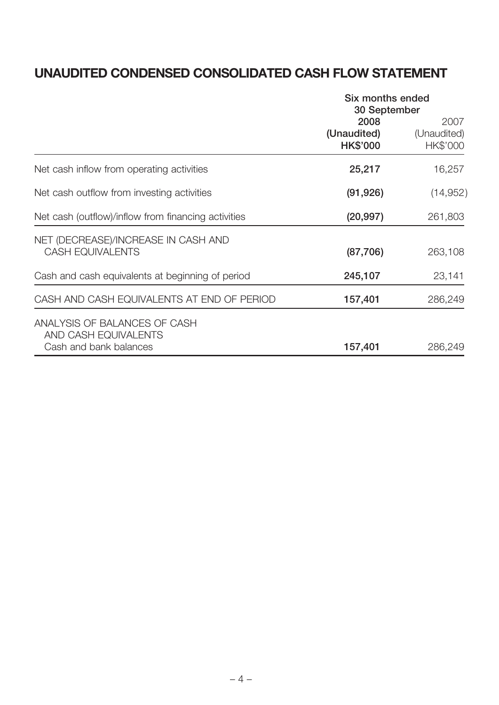# **UNAUDITED CONDENSED CONSOLIDATED CASH FLOW STATEMENT**

|                                                                                | Six months ended<br>30 September       |                                 |  |
|--------------------------------------------------------------------------------|----------------------------------------|---------------------------------|--|
|                                                                                | 2008<br>(Unaudited)<br><b>HK\$'000</b> | 2007<br>(Unaudited)<br>HK\$'000 |  |
| Net cash inflow from operating activities                                      | 25,217                                 | 16,257                          |  |
| Net cash outflow from investing activities                                     | (91, 926)                              | (14, 952)                       |  |
| Net cash (outflow)/inflow from financing activities                            | (20, 997)                              | 261,803                         |  |
| NET (DECREASE)/INCREASE IN CASH AND<br><b>CASH EQUIVALENTS</b>                 | (87, 706)                              | 263,108                         |  |
| Cash and cash equivalents at beginning of period                               | 245,107                                | 23,141                          |  |
| CASH AND CASH EQUIVALENTS AT END OF PERIOD                                     | 157,401                                | 286,249                         |  |
| ANALYSIS OF BALANCES OF CASH<br>AND CASH EQUIVALENTS<br>Cash and bank balances | 157,401                                | 286,249                         |  |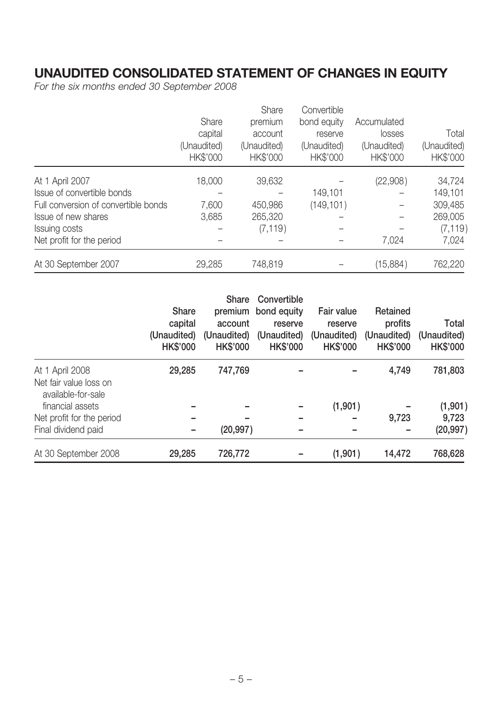# **UNAUDITED CONSOLIDATED STATEMENT OF CHANGES IN EQUITY**

For the six months ended 30 September 2008

|                                      |             | Share       | Convertible |             |             |
|--------------------------------------|-------------|-------------|-------------|-------------|-------------|
|                                      | Share       | premium     | bond equity | Accumulated |             |
|                                      | capital     | account     | reserve     | losses      | Total       |
|                                      | (Unaudited) | (Unaudited) | (Unaudited) | (Unaudited) | (Unaudited) |
|                                      | HK\$'000    | HK\$'000    | HK\$'000    | HK\$'000    | HK\$'000    |
| At 1 April 2007                      | 18,000      | 39,632      |             | (22,908)    | 34,724      |
| Issue of convertible bonds           |             |             | 149,101     |             | 149,101     |
| Full conversion of convertible bonds | 7,600       | 450,986     | (149, 101)  |             | 309,485     |
| Issue of new shares                  | 3,685       | 265,320     |             |             | 269,005     |
| Issuing costs                        |             | (7, 119)    |             |             | (7, 119)    |
| Net profit for the period            |             |             |             | 7,024       | 7,024       |
| At 30 September 2007                 | 29,285      | 748,819     |             | (15,884)    | 762,220     |

|                                                                 | Share<br>capital<br>(Unaudited)<br><b>HK\$'000</b> | <b>Share</b><br>account<br>(Unaudited)<br><b>HK\$'000</b> | Convertible<br>premium bond equity<br>reserve<br>(Unaudited)<br><b>HK\$'000</b> | Fair value<br>reserve<br>(Unaudited)<br><b>HK\$'000</b> | Retained<br>profits<br>(Unaudited)<br><b>HK\$'000</b> | Total<br>(Unaudited)<br><b>HK\$'000</b> |
|-----------------------------------------------------------------|----------------------------------------------------|-----------------------------------------------------------|---------------------------------------------------------------------------------|---------------------------------------------------------|-------------------------------------------------------|-----------------------------------------|
| At 1 April 2008<br>Net fair value loss on<br>available-for-sale | 29,285                                             | 747,769                                                   |                                                                                 |                                                         | 4,749                                                 | 781,803                                 |
| financial assets                                                |                                                    |                                                           |                                                                                 | (1,901)                                                 |                                                       | (1,901)                                 |
| Net profit for the period                                       |                                                    |                                                           |                                                                                 |                                                         | 9,723                                                 | 9,723                                   |
| Final dividend paid                                             |                                                    | (20, 997)                                                 |                                                                                 |                                                         |                                                       | (20, 997)                               |
| At 30 September 2008                                            | 29,285                                             | 726,772                                                   |                                                                                 | (1,901)                                                 | 14,472                                                | 768,628                                 |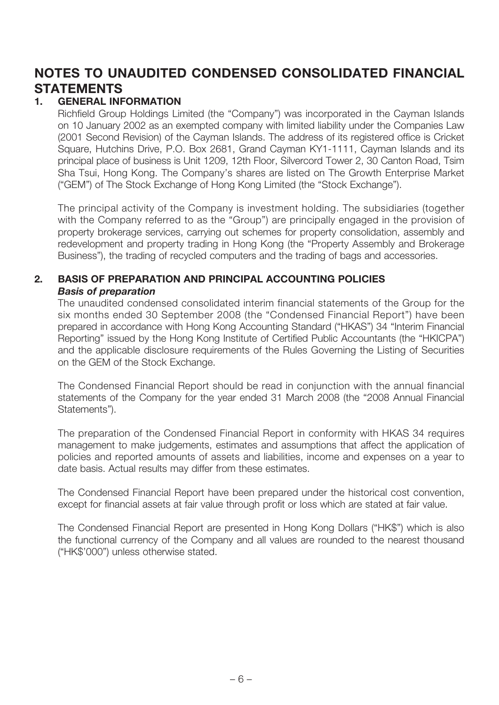# **NOTES TO UNAUDITED CONDENSED CONSOLIDATED FINANCIAL STATEMENTS**

### **1. GENERAL INFORMATION**

Richfield Group Holdings Limited (the "Company") was incorporated in the Cayman Islands on 10 January 2002 as an exempted company with limited liability under the Companies Law (2001 Second Revision) of the Cayman Islands. The address of its registered office is Cricket Square, Hutchins Drive, P.O. Box 2681, Grand Cayman KY1-1111, Cayman Islands and its principal place of business is Unit 1209, 12th Floor, Silvercord Tower 2, 30 Canton Road, Tsim Sha Tsui, Hong Kong. The Company's shares are listed on The Growth Enterprise Market ("GEM") of The Stock Exchange of Hong Kong Limited (the "Stock Exchange").

The principal activity of the Company is investment holding. The subsidiaries (together with the Company referred to as the "Group") are principally engaged in the provision of property brokerage services, carrying out schemes for property consolidation, assembly and redevelopment and property trading in Hong Kong (the "Property Assembly and Brokerage Business"), the trading of recycled computers and the trading of bags and accessories.

### **2. BASIS OF PREPARATION AND PRINCIPAL ACCOUNTING POLICIES** *Basis of preparation*

The unaudited condensed consolidated interim financial statements of the Group for the six months ended 30 September 2008 (the "Condensed Financial Report") have been prepared in accordance with Hong Kong Accounting Standard ("HKAS") 34 "Interim Financial Reporting" issued by the Hong Kong Institute of Certified Public Accountants (the "HKICPA") and the applicable disclosure requirements of the Rules Governing the Listing of Securities on the GEM of the Stock Exchange.

The Condensed Financial Report should be read in conjunction with the annual financial statements of the Company for the year ended 31 March 2008 (the "2008 Annual Financial Statements").

The preparation of the Condensed Financial Report in conformity with HKAS 34 requires management to make judgements, estimates and assumptions that affect the application of policies and reported amounts of assets and liabilities, income and expenses on a year to date basis. Actual results may differ from these estimates.

The Condensed Financial Report have been prepared under the historical cost convention, except for financial assets at fair value through profit or loss which are stated at fair value.

The Condensed Financial Report are presented in Hong Kong Dollars ("HK\$") which is also the functional currency of the Company and all values are rounded to the nearest thousand ("HK\$'000") unless otherwise stated.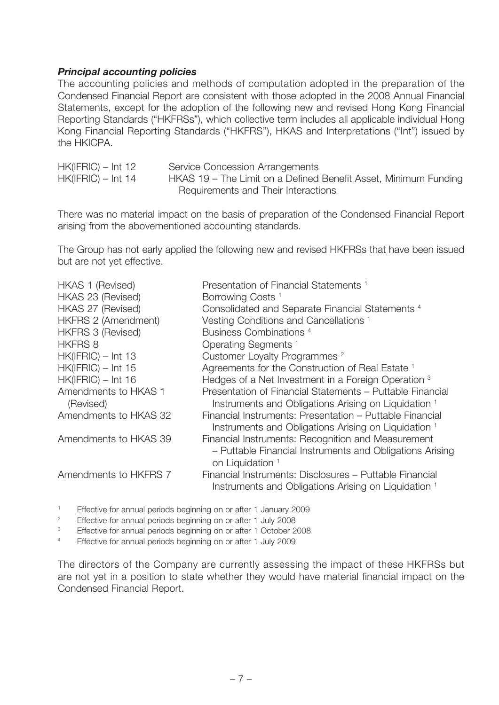### *Principal accounting policies*

The accounting policies and methods of computation adopted in the preparation of the Condensed Financial Report are consistent with those adopted in the 2008 Annual Financial Statements, except for the adoption of the following new and revised Hong Kong Financial Reporting Standards ("HKFRSs"), which collective term includes all applicable individual Hong Kong Financial Reporting Standards ("HKFRS"), HKAS and Interpretations ("Int") issued by the HKICPA.

| $HK(IFRIC) - Int 12$ | Service Concession Arrangements                                 |
|----------------------|-----------------------------------------------------------------|
| $HK(IFRIC) - Int 14$ | HKAS 19 – The Limit on a Defined Benefit Asset, Minimum Funding |
|                      | Requirements and Their Interactions                             |

There was no material impact on the basis of preparation of the Condensed Financial Report arising from the abovementioned accounting standards.

The Group has not early applied the following new and revised HKFRSs that have been issued but are not yet effective.

| HKAS 1 (Revised)                  | Presentation of Financial Statements <sup>1</sup>                                                                                             |
|-----------------------------------|-----------------------------------------------------------------------------------------------------------------------------------------------|
| HKAS 23 (Revised)                 | Borrowing Costs <sup>1</sup>                                                                                                                  |
| HKAS 27 (Revised)                 | Consolidated and Separate Financial Statements <sup>4</sup>                                                                                   |
| <b>HKFRS 2 (Amendment)</b>        | Vesting Conditions and Cancellations <sup>1</sup>                                                                                             |
| <b>HKFRS 3 (Revised)</b>          | Business Combinations <sup>4</sup>                                                                                                            |
| <b>HKFRS 8</b>                    | Operating Segments <sup>1</sup>                                                                                                               |
| $HK(IFRIC) - Int 13$              | Customer Loyalty Programmes <sup>2</sup>                                                                                                      |
| $HK(IFRIC) - Int 15$              | Agreements for the Construction of Real Estate <sup>1</sup>                                                                                   |
| $HK(IFRIC) - Int 16$              | Hedges of a Net Investment in a Foreign Operation 3                                                                                           |
| Amendments to HKAS 1<br>(Revised) | Presentation of Financial Statements – Puttable Financial<br>Instruments and Obligations Arising on Liquidation <sup>1</sup>                  |
| Amendments to HKAS 32             | Financial Instruments: Presentation – Puttable Financial<br>Instruments and Obligations Arising on Liquidation 1                              |
| Amendments to HKAS 39             | Financial Instruments: Recognition and Measurement<br>- Puttable Financial Instruments and Obligations Arising<br>on Liquidation <sup>1</sup> |
| Amendments to HKFRS 7             | Financial Instruments: Disclosures – Puttable Financial<br>Instruments and Obligations Arising on Liquidation <sup>1</sup>                    |

1 Effective for annual periods beginning on or after 1 January 2009

 $\overline{2}$ Effective for annual periods beginning on or after 1 July 2008

3 Effective for annual periods beginning on or after 1 October 2008

4 Effective for annual periods beginning on or after 1 July 2009

The directors of the Company are currently assessing the impact of these HKFRSs but are not yet in a position to state whether they would have material financial impact on the Condensed Financial Report.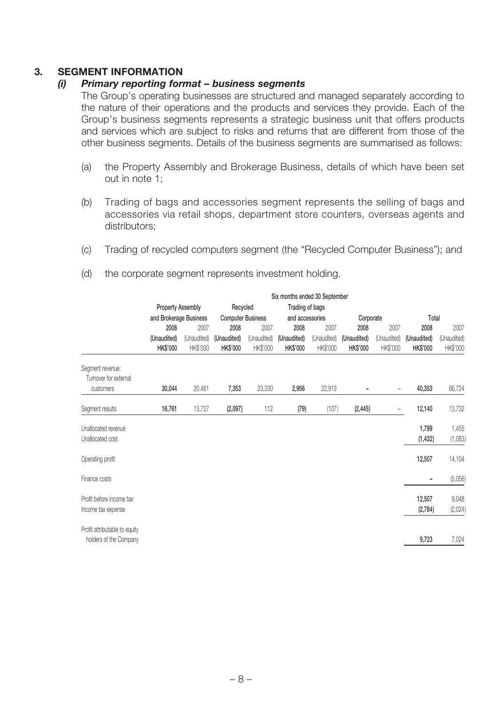### **3. SEGMENT INFORMATION**

### *(i) Primary reporting format – business segments*

The Group's operating businesses are structured and managed separately according to the nature of their operations and the products and services they provide. Each of the Group's business segments represents a strategic business unit that offers products and services which are subject to risks and returns that are different from those of the other business segments. Details of the business segments are summarised as follows:

- (a) the Property Assembly and Brokerage Business, details of which have been set out in note 1;
- (b) Trading of bags and accessories segment represents the selling of bags and accessories via retail shops, department store counters, overseas agents and distributors;
- (c) Trading of recycled computers segment (the "Recycled Computer Business"); and

|                                                         |                                | Six months ended 30 September                           |                          |                         |                                |                         |                                |                          |                                |                         |
|---------------------------------------------------------|--------------------------------|---------------------------------------------------------|--------------------------|-------------------------|--------------------------------|-------------------------|--------------------------------|--------------------------|--------------------------------|-------------------------|
|                                                         |                                | <b>Property Assembly</b><br>Recycled<br>Trading of bags |                          |                         |                                |                         |                                |                          |                                |                         |
|                                                         | and Brokerage Business         |                                                         | <b>Computer Business</b> |                         | and accessories                |                         | Corporate                      |                          | Total                          |                         |
|                                                         | 2008                           | 2007                                                    | 2008                     | 2007                    | 2008                           | 2007                    | 2008                           | 2007                     | 2008                           | 2007                    |
|                                                         | (Unaudited)<br><b>HK\$'000</b> | (Unaudited)<br>HK\$'000                                 | (Unaudited)<br>HK\$'000  | (Unaudited)<br>HK\$'000 | (Unaudited)<br><b>HK\$'000</b> | (Unaudited)<br>HK\$'000 | (Unaudited)<br><b>HK\$'000</b> | (Unaudited)<br>HK\$'000  | (Unaudited)<br><b>HK\$'000</b> | (Unaudited)<br>HK\$'000 |
| Segment revenue:<br>Turnover for external               |                                |                                                         |                          |                         |                                |                         |                                |                          |                                |                         |
| customers                                               | 30,044                         | 20,481                                                  | 7,353                    | 23,330                  | 2,956                          | 22,913                  |                                | $\overline{\phantom{0}}$ | 40,353                         | 66,724                  |
| Segment results                                         | 16,761                         | 13,727                                                  | (2,097)                  | 112                     | (79)                           | (107)                   | (2, 445)                       | -                        | 12,140                         | 13,732                  |
| Unallocated revenue<br>Unallocated cost                 |                                |                                                         |                          |                         |                                |                         |                                |                          | 1,799<br>(1, 432)              | 1,455<br>(1,083)        |
| Operating profit                                        |                                |                                                         |                          |                         |                                |                         |                                |                          | 12,507                         | 14,104                  |
| Finance costs                                           |                                |                                                         |                          |                         |                                |                         |                                |                          |                                | (5,056)                 |
| Profit before income tax<br>Income tax expense          |                                |                                                         |                          |                         |                                |                         |                                |                          | 12,507<br>(2,784)              | 9,048<br>(2,024)        |
| Profit attributable to equity<br>holders of the Company |                                |                                                         |                          |                         |                                |                         |                                |                          | 9,723                          | 7,024                   |

(d) the corporate segment represents investment holding.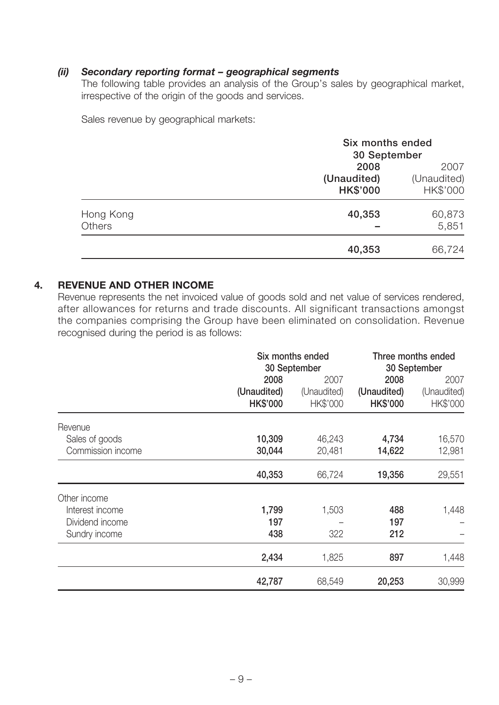### *(ii) Secondary reporting format – geographical segments*

The following table provides an analysis of the Group's sales by geographical market, irrespective of the origin of the goods and services.

Sales revenue by geographical markets:

|                     | Six months ended               |                         |  |
|---------------------|--------------------------------|-------------------------|--|
|                     | 30 September                   |                         |  |
|                     | 2008                           | 2007                    |  |
|                     | (Unaudited)<br><b>HK\$'000</b> | (Unaudited)<br>HK\$'000 |  |
| Hong Kong<br>Others | 40,353                         | 60,873<br>5,851         |  |
|                     | 40,353                         | 66,724                  |  |

### **4. REVENUE AND OTHER INCOME**

Revenue represents the net invoiced value of goods sold and net value of services rendered, after allowances for returns and trade discounts. All significant transactions amongst the companies comprising the Group have been eliminated on consolidation. Revenue recognised during the period is as follows:

|                                                                     | Six months ended<br>30 September       |                                 |                                        | Three months ended<br>30 September |
|---------------------------------------------------------------------|----------------------------------------|---------------------------------|----------------------------------------|------------------------------------|
|                                                                     | 2008<br>(Unaudited)<br><b>HK\$'000</b> | 2007<br>(Unaudited)<br>HK\$'000 | 2008<br>(Unaudited)<br><b>HK\$'000</b> | 2007<br>(Unaudited)<br>HK\$'000    |
| Revenue<br>Sales of goods<br>Commission income                      | 10,309<br>30,044                       | 46,243<br>20,481                | 4,734<br>14,622                        | 16,570<br>12,981                   |
|                                                                     | 40,353                                 | 66,724                          | 19,356                                 | 29,551                             |
| Other income<br>Interest income<br>Dividend income<br>Sundry income | 1,799<br>197<br>438                    | 1,503<br>322                    | 488<br>197<br>212                      | 1,448                              |
|                                                                     | 2,434                                  | 1,825                           | 897                                    | 1,448                              |
|                                                                     | 42,787                                 | 68,549                          | 20,253                                 | 30,999                             |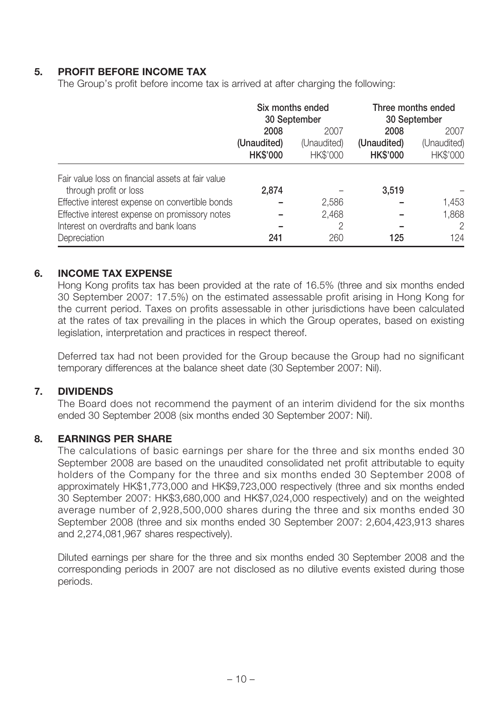### **5. PROFIT BEFORE INCOME TAX**

The Group's profit before income tax is arrived at after charging the following:

|                                                   |                 | Six months ended<br>30 September | Three months ended<br>30 September |             |  |      |
|---------------------------------------------------|-----------------|----------------------------------|------------------------------------|-------------|--|------|
|                                                   | 2008            | 2007                             |                                    | 2008        |  | 2007 |
|                                                   | (Unaudited)     | (Unaudited)                      | (Unaudited)                        | (Unaudited) |  |      |
|                                                   | <b>HK\$'000</b> | HK\$'000                         | <b>HK\$'000</b>                    | HK\$'000    |  |      |
| Fair value loss on financial assets at fair value |                 |                                  |                                    |             |  |      |
| through profit or loss                            | 2,874           |                                  | 3,519                              |             |  |      |
| Effective interest expense on convertible bonds   |                 | 2,586                            |                                    | 1,453       |  |      |
| Effective interest expense on promissory notes    |                 | 2,468                            |                                    | 1,868       |  |      |
| Interest on overdrafts and bank loans             |                 | 2                                |                                    | 2           |  |      |
| Depreciation                                      | 241             | 260                              | 125                                | 124         |  |      |

### **6. INCOME TAX EXPENSE**

Hong Kong profits tax has been provided at the rate of 16.5% (three and six months ended 30 September 2007: 17.5%) on the estimated assessable profit arising in Hong Kong for the current period. Taxes on profits assessable in other jurisdictions have been calculated at the rates of tax prevailing in the places in which the Group operates, based on existing legislation, interpretation and practices in respect thereof.

Deferred tax had not been provided for the Group because the Group had no significant temporary differences at the balance sheet date (30 September 2007: Nil).

### **7. DIVIDENDS**

The Board does not recommend the payment of an interim dividend for the six months ended 30 September 2008 (six months ended 30 September 2007: Nil).

### **8. EARNINGS PER SHARE**

The calculations of basic earnings per share for the three and six months ended 30 September 2008 are based on the unaudited consolidated net profit attributable to equity holders of the Company for the three and six months ended 30 September 2008 of approximately HK\$1,773,000 and HK\$9,723,000 respectively (three and six months ended 30 September 2007: HK\$3,680,000 and HK\$7,024,000 respectively) and on the weighted average number of 2,928,500,000 shares during the three and six months ended 30 September 2008 (three and six months ended 30 September 2007: 2,604,423,913 shares and 2,274,081,967 shares respectively).

Diluted earnings per share for the three and six months ended 30 September 2008 and the corresponding periods in 2007 are not disclosed as no dilutive events existed during those periods.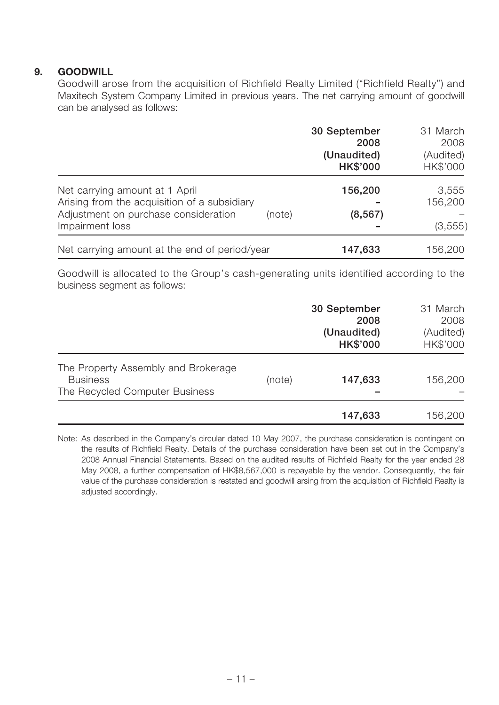### **9. GOODWILL**

Goodwill arose from the acquisition of Richfield Realty Limited ("Richfield Realty") and Maxitech System Company Limited in previous years. The net carrying amount of goodwill can be analysed as follows:

|                                                                                                                                                     | 30 September<br>2008<br>(Unaudited)<br><b>HK\$'000</b> | 31 March<br>2008<br>(Audited)<br>HK\$'000 |
|-----------------------------------------------------------------------------------------------------------------------------------------------------|--------------------------------------------------------|-------------------------------------------|
| Net carrying amount at 1 April<br>Arising from the acquisition of a subsidiary<br>Adjustment on purchase consideration<br>(note)<br>Impairment loss | 156,200<br>(8, 567)                                    | 3,555<br>156,200<br>(3, 555)              |
| Net carrying amount at the end of period/year                                                                                                       | 147,633                                                | 156,200                                   |

Goodwill is allocated to the Group's cash-generating units identified according to the business segment as follows:

|                                                                                          |        | 30 September<br>2008<br>(Unaudited)<br><b>HK\$'000</b> | 31 March<br>2008<br>(Audited)<br>HK\$'000 |
|------------------------------------------------------------------------------------------|--------|--------------------------------------------------------|-------------------------------------------|
| The Property Assembly and Brokerage<br><b>Business</b><br>The Recycled Computer Business | (note) | 147,633                                                | 156,200                                   |
|                                                                                          |        | 147,633                                                | 156,200                                   |

Note: As described in the Company's circular dated 10 May 2007, the purchase consideration is contingent on the results of Richfield Realty. Details of the purchase consideration have been set out in the Company's 2008 Annual Financial Statements. Based on the audited results of Richfield Realty for the year ended 28 May 2008, a further compensation of HK\$8,567,000 is repayable by the vendor. Consequently, the fair value of the purchase consideration is restated and goodwill arsing from the acquisition of Richfield Realty is adjusted accordingly.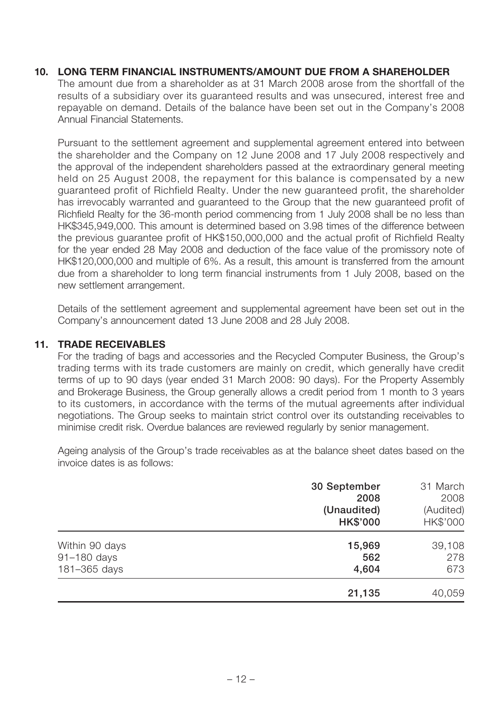### **10. LONG TERM FINANCIAL INSTRUMENTS/AMOUNT DUE FROM A SHAREHOLDER**

The amount due from a shareholder as at 31 March 2008 arose from the shortfall of the results of a subsidiary over its guaranteed results and was unsecured, interest free and repayable on demand. Details of the balance have been set out in the Company's 2008 Annual Financial Statements.

Pursuant to the settlement agreement and supplemental agreement entered into between the shareholder and the Company on 12 June 2008 and 17 July 2008 respectively and the approval of the independent shareholders passed at the extraordinary general meeting held on 25 August 2008, the repayment for this balance is compensated by a new guaranteed profit of Richfield Realty. Under the new guaranteed profit, the shareholder has irrevocably warranted and guaranteed to the Group that the new guaranteed profit of Richfield Realty for the 36-month period commencing from 1 July 2008 shall be no less than HK\$345,949,000. This amount is determined based on 3.98 times of the difference between the previous guarantee profit of HK\$150,000,000 and the actual profit of Richfield Realty for the year ended 28 May 2008 and deduction of the face value of the promissory note of HK\$120,000,000 and multiple of 6%. As a result, this amount is transferred from the amount due from a shareholder to long term financial instruments from 1 July 2008, based on the new settlement arrangement.

Details of the settlement agreement and supplemental agreement have been set out in the Company's announcement dated 13 June 2008 and 28 July 2008.

### **11. TRADE RECEIVABLES**

For the trading of bags and accessories and the Recycled Computer Business, the Group's trading terms with its trade customers are mainly on credit, which generally have credit terms of up to 90 days (year ended 31 March 2008: 90 days). For the Property Assembly and Brokerage Business, the Group generally allows a credit period from 1 month to 3 years to its customers, in accordance with the terms of the mutual agreements after individual negotiations. The Group seeks to maintain strict control over its outstanding receivables to minimise credit risk. Overdue balances are reviewed regularly by senior management.

Ageing analysis of the Group's trade receivables as at the balance sheet dates based on the invoice dates is as follows:

|                               | 30 September<br>2008<br>(Unaudited)<br><b>HK\$'000</b> | 31 March<br>2008<br>(Audited)<br>HK\$'000 |
|-------------------------------|--------------------------------------------------------|-------------------------------------------|
| Within 90 days<br>91-180 days | 15,969<br>562                                          | 39,108<br>278                             |
| 181-365 days                  | 4,604                                                  | 673                                       |
|                               | 21,135                                                 | 40,059                                    |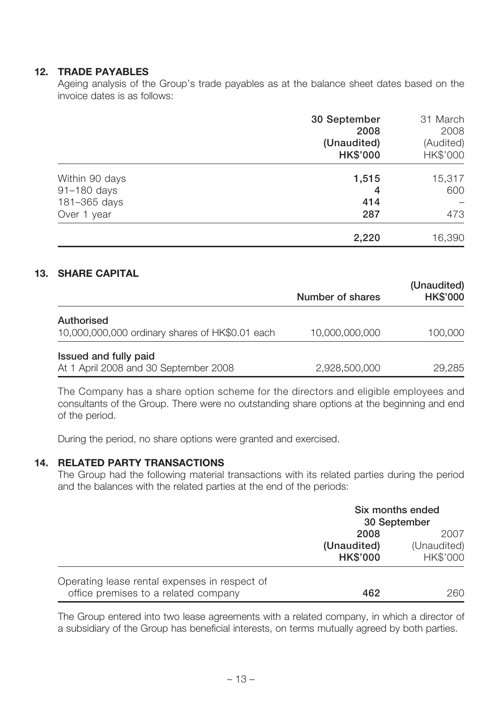### **12. TRADE PAYABLES**

Ageing analysis of the Group's trade payables as at the balance sheet dates based on the invoice dates is as follows:

|                | 30 September<br>2008<br>(Unaudited)<br><b>HK\$'000</b> | 31 March<br>2008<br>(Audited)<br>HK\$'000 |
|----------------|--------------------------------------------------------|-------------------------------------------|
| Within 90 days | 1,515                                                  | 15,317                                    |
| 91-180 days    | 4                                                      | 600                                       |
| 181-365 days   | 414                                                    |                                           |
| Over 1 year    | 287                                                    | 473                                       |
|                | 2,220                                                  | 16,390                                    |

### **13. SHARE CAPITAL**

|                                                                      | Number of shares | (Unaudited)<br><b>HK\$'000</b> |
|----------------------------------------------------------------------|------------------|--------------------------------|
| <b>Authorised</b><br>10,000,000,000 ordinary shares of HK\$0.01 each | 10,000,000,000   | 100,000                        |
| Issued and fully paid<br>At 1 April 2008 and 30 September 2008       | 2,928,500,000    | 29,285                         |

The Company has a share option scheme for the directors and eligible employees and consultants of the Group. There were no outstanding share options at the beginning and end of the period.

During the period, no share options were granted and exercised.

#### **14. RELATED PARTY TRANSACTIONS**

The Group had the following material transactions with its related parties during the period and the balances with the related parties at the end of the periods:

|                                                                                       | Six months ended<br>30 September       |                                 |
|---------------------------------------------------------------------------------------|----------------------------------------|---------------------------------|
|                                                                                       | 2008<br>(Unaudited)<br><b>HK\$'000</b> | 2007<br>(Unaudited)<br>HK\$'000 |
| Operating lease rental expenses in respect of<br>office premises to a related company | 462                                    | 260                             |

The Group entered into two lease agreements with a related company, in which a director of a subsidiary of the Group has beneficial interests, on terms mutually agreed by both parties.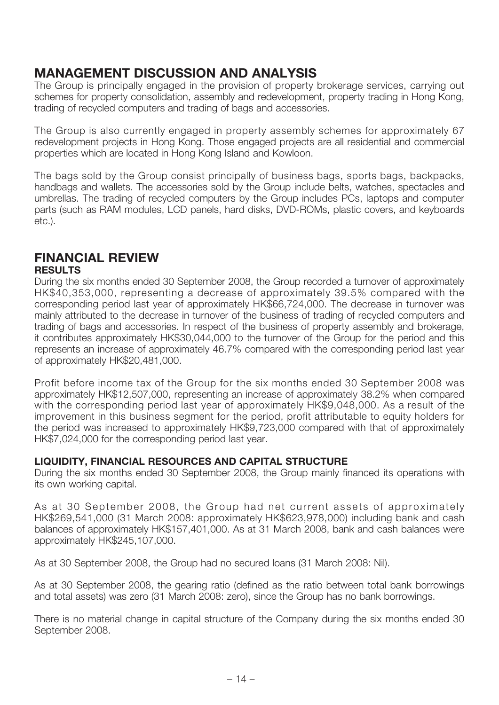# **MANAGEMENT DISCUSSION AND ANALYSIS**

The Group is principally engaged in the provision of property brokerage services, carrying out schemes for property consolidation, assembly and redevelopment, property trading in Hong Kong, trading of recycled computers and trading of bags and accessories.

The Group is also currently engaged in property assembly schemes for approximately 67 redevelopment projects in Hong Kong. Those engaged projects are all residential and commercial properties which are located in Hong Kong Island and Kowloon.

The bags sold by the Group consist principally of business bags, sports bags, backpacks, handbags and wallets. The accessories sold by the Group include belts, watches, spectacles and umbrellas. The trading of recycled computers by the Group includes PCs, laptops and computer parts (such as RAM modules, LCD panels, hard disks, DVD-ROMs, plastic covers, and keyboards etc.).

# **FINANCIAL REVIEW**

## **RESULTS**

During the six months ended 30 September 2008, the Group recorded a turnover of approximately HK\$40,353,000, representing a decrease of approximately 39.5% compared with the corresponding period last year of approximately HK\$66,724,000. The decrease in turnover was mainly attributed to the decrease in turnover of the business of trading of recycled computers and trading of bags and accessories. In respect of the business of property assembly and brokerage, it contributes approximately HK\$30,044,000 to the turnover of the Group for the period and this represents an increase of approximately 46.7% compared with the corresponding period last year of approximately HK\$20,481,000.

Profit before income tax of the Group for the six months ended 30 September 2008 was approximately HK\$12,507,000, representing an increase of approximately 38.2% when compared with the corresponding period last year of approximately HK\$9,048,000. As a result of the improvement in this business segment for the period, profit attributable to equity holders for the period was increased to approximately HK\$9,723,000 compared with that of approximately HK\$7,024,000 for the corresponding period last year.

### **LIQUIDITY, FINANCIAL RESOURCES AND CAPITAL STRUCTURE**

During the six months ended 30 September 2008, the Group mainly financed its operations with its own working capital.

As at 30 September 2008, the Group had net current assets of approximately HK\$269,541,000 (31 March 2008: approximately HK\$623,978,000) including bank and cash balances of approximately HK\$157,401,000. As at 31 March 2008, bank and cash balances were approximately HK\$245,107,000.

As at 30 September 2008, the Group had no secured loans (31 March 2008: Nil).

As at 30 September 2008, the gearing ratio (defined as the ratio between total bank borrowings and total assets) was zero (31 March 2008: zero), since the Group has no bank borrowings.

There is no material change in capital structure of the Company during the six months ended 30 September 2008.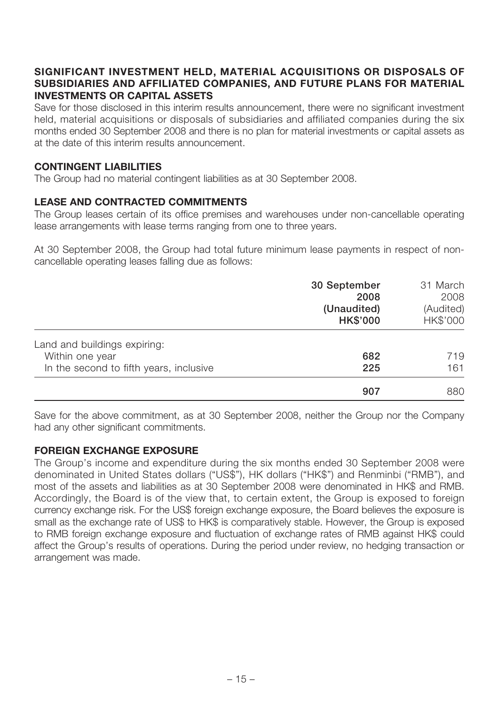### **SIGNIFICANT INVESTMENT HELD, MATERIAL ACQUISITIONS OR DISPOSALS OF SUBSIDIARIES AND AFFILIATED COMPANIES, AND FUTURE PLANS FOR MATERIAL INVESTMENTS OR CAPITAL ASSETS**

Save for those disclosed in this interim results announcement, there were no significant investment held, material acquisitions or disposals of subsidiaries and affiliated companies during the six months ended 30 September 2008 and there is no plan for material investments or capital assets as at the date of this interim results announcement.

### **CONTINGENT LIABILITIES**

The Group had no material contingent liabilities as at 30 September 2008.

### **LEASE AND CONTRACTED COMMITMENTS**

The Group leases certain of its office premises and warehouses under non-cancellable operating lease arrangements with lease terms ranging from one to three years.

At 30 September 2008, the Group had total future minimum lease payments in respect of noncancellable operating leases falling due as follows:

|                                         | 30 September<br>2008<br>(Unaudited)<br><b>HK\$'000</b> | 31 March<br>2008<br>(Audited)<br>HK\$'000 |
|-----------------------------------------|--------------------------------------------------------|-------------------------------------------|
| Land and buildings expiring:            |                                                        |                                           |
| Within one year                         | 682                                                    | 719                                       |
| In the second to fifth years, inclusive | 225                                                    | 161                                       |
|                                         | 907                                                    | 880                                       |

Save for the above commitment, as at 30 September 2008, neither the Group nor the Company had any other significant commitments.

### **FOREIGN EXCHANGE EXPOSURE**

The Group's income and expenditure during the six months ended 30 September 2008 were denominated in United States dollars ("US\$"), HK dollars ("HK\$") and Renminbi ("RMB"), and most of the assets and liabilities as at 30 September 2008 were denominated in HK\$ and RMB. Accordingly, the Board is of the view that, to certain extent, the Group is exposed to foreign currency exchange risk. For the US\$ foreign exchange exposure, the Board believes the exposure is small as the exchange rate of US\$ to HK\$ is comparatively stable. However, the Group is exposed to RMB foreign exchange exposure and fluctuation of exchange rates of RMB against HK\$ could affect the Group's results of operations. During the period under review, no hedging transaction or arrangement was made.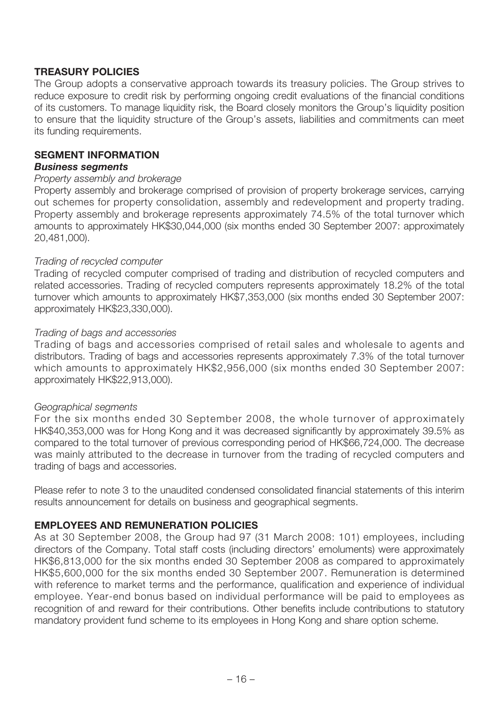### **TREASURY POLICIES**

The Group adopts a conservative approach towards its treasury policies. The Group strives to reduce exposure to credit risk by performing ongoing credit evaluations of the financial conditions of its customers. To manage liquidity risk, the Board closely monitors the Group's liquidity position to ensure that the liquidity structure of the Group's assets, liabilities and commitments can meet its funding requirements.

### **SEGMENT INFORMATION**

#### *Business segments*

#### Property assembly and brokerage

Property assembly and brokerage comprised of provision of property brokerage services, carrying out schemes for property consolidation, assembly and redevelopment and property trading. Property assembly and brokerage represents approximately 74.5% of the total turnover which amounts to approximately HK\$30,044,000 (six months ended 30 September 2007: approximately 20,481,000).

### Trading of recycled computer

Trading of recycled computer comprised of trading and distribution of recycled computers and related accessories. Trading of recycled computers represents approximately 18.2% of the total turnover which amounts to approximately HK\$7,353,000 (six months ended 30 September 2007: approximately HK\$23,330,000).

### Trading of bags and accessories

Trading of bags and accessories comprised of retail sales and wholesale to agents and distributors. Trading of bags and accessories represents approximately 7.3% of the total turnover which amounts to approximately HK\$2,956,000 (six months ended 30 September 2007: approximately HK\$22,913,000).

### Geographical segments

For the six months ended 30 September 2008, the whole turnover of approximately HK\$40,353,000 was for Hong Kong and it was decreased significantly by approximately 39.5% as compared to the total turnover of previous corresponding period of HK\$66,724,000. The decrease was mainly attributed to the decrease in turnover from the trading of recycled computers and trading of bags and accessories.

Please refer to note 3 to the unaudited condensed consolidated financial statements of this interim results announcement for details on business and geographical segments.

### **EMPLOYEES AND REMUNERATION POLICIES**

As at 30 September 2008, the Group had 97 (31 March 2008: 101) employees, including directors of the Company. Total staff costs (including directors' emoluments) were approximately HK\$6,813,000 for the six months ended 30 September 2008 as compared to approximately HK\$5,600,000 for the six months ended 30 September 2007. Remuneration is determined with reference to market terms and the performance, qualification and experience of individual employee. Year-end bonus based on individual performance will be paid to employees as recognition of and reward for their contributions. Other benefits include contributions to statutory mandatory provident fund scheme to its employees in Hong Kong and share option scheme.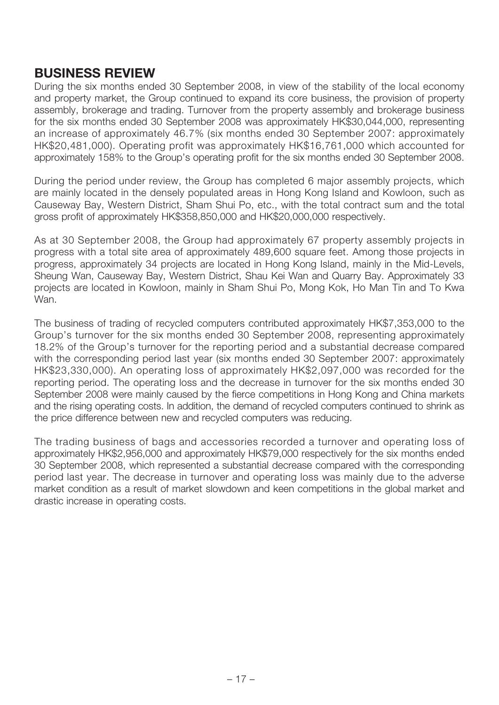# **BUSINESS REVIEW**

During the six months ended 30 September 2008, in view of the stability of the local economy and property market, the Group continued to expand its core business, the provision of property assembly, brokerage and trading. Turnover from the property assembly and brokerage business for the six months ended 30 September 2008 was approximately HK\$30,044,000, representing an increase of approximately 46.7% (six months ended 30 September 2007: approximately HK\$20,481,000). Operating profit was approximately HK\$16,761,000 which accounted for approximately 158% to the Group's operating profit for the six months ended 30 September 2008.

During the period under review, the Group has completed 6 major assembly projects, which are mainly located in the densely populated areas in Hong Kong Island and Kowloon, such as Causeway Bay, Western District, Sham Shui Po, etc., with the total contract sum and the total gross profit of approximately HK\$358,850,000 and HK\$20,000,000 respectively.

As at 30 September 2008, the Group had approximately 67 property assembly projects in progress with a total site area of approximately 489,600 square feet. Among those projects in progress, approximately 34 projects are located in Hong Kong Island, mainly in the Mid-Levels, Sheung Wan, Causeway Bay, Western District, Shau Kei Wan and Quarry Bay. Approximately 33 projects are located in Kowloon, mainly in Sham Shui Po, Mong Kok, Ho Man Tin and To Kwa Wan.

The business of trading of recycled computers contributed approximately HK\$7,353,000 to the Group's turnover for the six months ended 30 September 2008, representing approximately 18.2% of the Group's turnover for the reporting period and a substantial decrease compared with the corresponding period last year (six months ended 30 September 2007: approximately HK\$23,330,000). An operating loss of approximately HK\$2,097,000 was recorded for the reporting period. The operating loss and the decrease in turnover for the six months ended 30 September 2008 were mainly caused by the fierce competitions in Hong Kong and China markets and the rising operating costs. In addition, the demand of recycled computers continued to shrink as the price difference between new and recycled computers was reducing.

The trading business of bags and accessories recorded a turnover and operating loss of approximately HK\$2,956,000 and approximately HK\$79,000 respectively for the six months ended 30 September 2008, which represented a substantial decrease compared with the corresponding period last year. The decrease in turnover and operating loss was mainly due to the adverse market condition as a result of market slowdown and keen competitions in the global market and drastic increase in operating costs.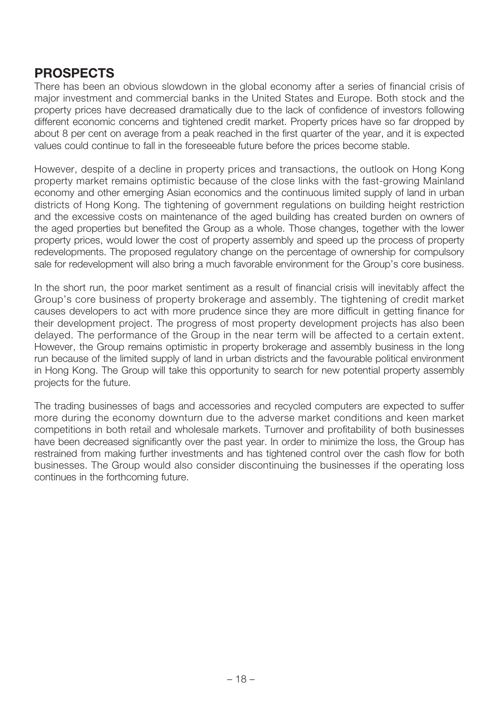# **PROSPECTS**

There has been an obvious slowdown in the global economy after a series of financial crisis of major investment and commercial banks in the United States and Europe. Both stock and the property prices have decreased dramatically due to the lack of confidence of investors following different economic concerns and tightened credit market. Property prices have so far dropped by about 8 per cent on average from a peak reached in the first quarter of the year, and it is expected values could continue to fall in the foreseeable future before the prices become stable.

However, despite of a decline in property prices and transactions, the outlook on Hong Kong property market remains optimistic because of the close links with the fast-growing Mainland economy and other emerging Asian economics and the continuous limited supply of land in urban districts of Hong Kong. The tightening of government regulations on building height restriction and the excessive costs on maintenance of the aged building has created burden on owners of the aged properties but benefited the Group as a whole. Those changes, together with the lower property prices, would lower the cost of property assembly and speed up the process of property redevelopments. The proposed regulatory change on the percentage of ownership for compulsory sale for redevelopment will also bring a much favorable environment for the Group's core business.

In the short run, the poor market sentiment as a result of financial crisis will inevitably affect the Group's core business of property brokerage and assembly. The tightening of credit market causes developers to act with more prudence since they are more difficult in getting finance for their development project. The progress of most property development projects has also been delayed. The performance of the Group in the near term will be affected to a certain extent. However, the Group remains optimistic in property brokerage and assembly business in the long run because of the limited supply of land in urban districts and the favourable political environment in Hong Kong. The Group will take this opportunity to search for new potential property assembly projects for the future.

The trading businesses of bags and accessories and recycled computers are expected to suffer more during the economy downturn due to the adverse market conditions and keen market competitions in both retail and wholesale markets. Turnover and profitability of both businesses have been decreased significantly over the past year. In order to minimize the loss, the Group has restrained from making further investments and has tightened control over the cash flow for both businesses. The Group would also consider discontinuing the businesses if the operating loss continues in the forthcoming future.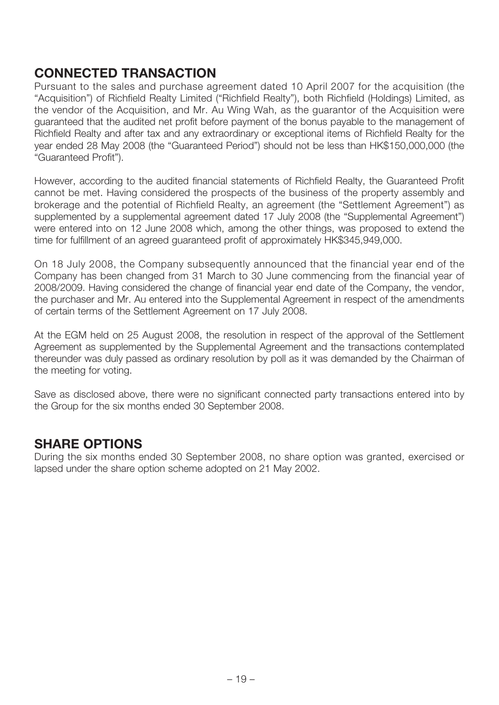# **CONNECTED TRANSACTION**

Pursuant to the sales and purchase agreement dated 10 April 2007 for the acquisition (the "Acquisition") of Richfield Realty Limited ("Richfield Realty"), both Richfield (Holdings) Limited, as the vendor of the Acquisition, and Mr. Au Wing Wah, as the guarantor of the Acquisition were guaranteed that the audited net profit before payment of the bonus payable to the management of Richfield Realty and after tax and any extraordinary or exceptional items of Richfield Realty for the year ended 28 May 2008 (the "Guaranteed Period") should not be less than HK\$150,000,000 (the "Guaranteed Profit").

However, according to the audited financial statements of Richfield Realty, the Guaranteed Profit cannot be met. Having considered the prospects of the business of the property assembly and brokerage and the potential of Richfield Realty, an agreement (the "Settlement Agreement") as supplemented by a supplemental agreement dated 17 July 2008 (the "Supplemental Agreement") were entered into on 12 June 2008 which, among the other things, was proposed to extend the time for fulfillment of an agreed guaranteed profit of approximately HK\$345,949,000.

On 18 July 2008, the Company subsequently announced that the financial year end of the Company has been changed from 31 March to 30 June commencing from the financial year of 2008/2009. Having considered the change of financial year end date of the Company, the vendor, the purchaser and Mr. Au entered into the Supplemental Agreement in respect of the amendments of certain terms of the Settlement Agreement on 17 July 2008.

At the EGM held on 25 August 2008, the resolution in respect of the approval of the Settlement Agreement as supplemented by the Supplemental Agreement and the transactions contemplated thereunder was duly passed as ordinary resolution by poll as it was demanded by the Chairman of the meeting for voting.

Save as disclosed above, there were no significant connected party transactions entered into by the Group for the six months ended 30 September 2008.

# **SHARE OPTIONS**

During the six months ended 30 September 2008, no share option was granted, exercised or lapsed under the share option scheme adopted on 21 May 2002.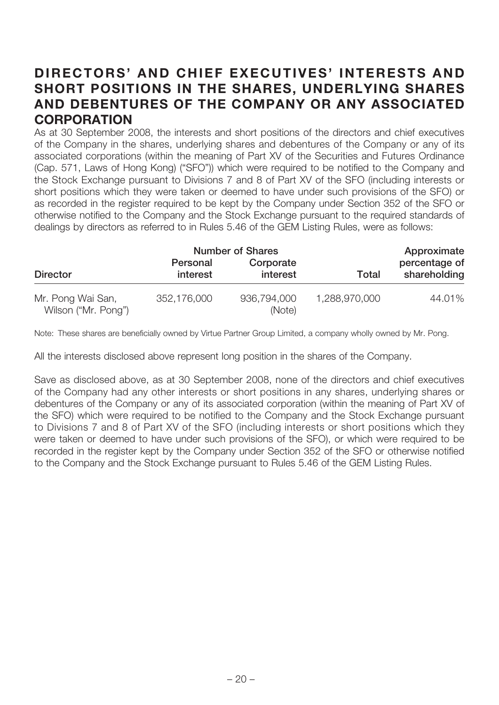# **DIRECTORS' AND CHIEF EXECUTIVES' INTERESTS AND SHORT POSITIONS IN THE SHARES, UNDERLYING SHARES AND DEBENTURES OF THE COMPANY OR ANY ASSOCIATED CORPORATION**

As at 30 September 2008, the interests and short positions of the directors and chief executives of the Company in the shares, underlying shares and debentures of the Company or any of its associated corporations (within the meaning of Part XV of the Securities and Futures Ordinance (Cap. 571, Laws of Hong Kong) ("SFO")) which were required to be notified to the Company and the Stock Exchange pursuant to Divisions 7 and 8 of Part XV of the SFO (including interests or short positions which they were taken or deemed to have under such provisions of the SFO) or as recorded in the register required to be kept by the Company under Section 352 of the SFO or otherwise notified to the Company and the Stock Exchange pursuant to the required standards of dealings by directors as referred to in Rules 5.46 of the GEM Listing Rules, were as follows:

|                                          | <b>Number of Shares</b> |                       |               | Approximate                   |
|------------------------------------------|-------------------------|-----------------------|---------------|-------------------------------|
| <b>Director</b>                          | Personal<br>interest    | Corporate<br>interest | Total         | percentage of<br>shareholding |
| Mr. Pong Wai San,<br>Wilson ("Mr. Pong") | 352,176,000             | 936,794,000<br>(Note) | 1,288,970,000 | 44.01%                        |

Note: These shares are beneficially owned by Virtue Partner Group Limited, a company wholly owned by Mr. Pong.

All the interests disclosed above represent long position in the shares of the Company.

Save as disclosed above, as at 30 September 2008, none of the directors and chief executives of the Company had any other interests or short positions in any shares, underlying shares or debentures of the Company or any of its associated corporation (within the meaning of Part XV of the SFO) which were required to be notified to the Company and the Stock Exchange pursuant to Divisions 7 and 8 of Part XV of the SFO (including interests or short positions which they were taken or deemed to have under such provisions of the SFO), or which were required to be recorded in the register kept by the Company under Section 352 of the SFO or otherwise notified to the Company and the Stock Exchange pursuant to Rules 5.46 of the GEM Listing Rules.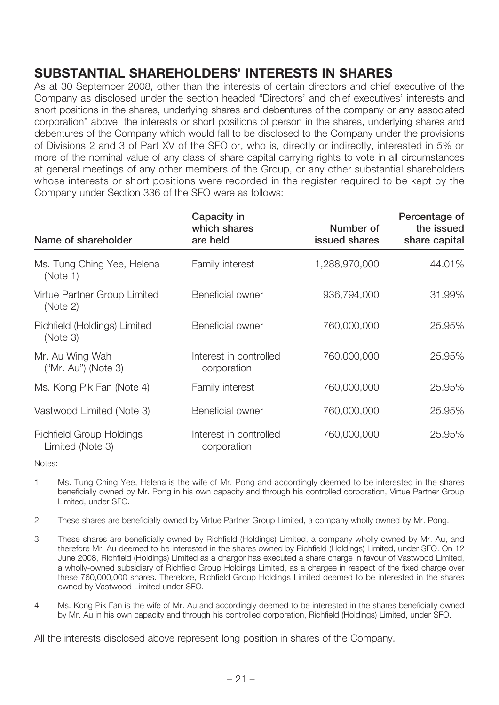# **SUBSTANTIAL SHAREHOLDERS' INTERESTS IN SHARES**

As at 30 September 2008, other than the interests of certain directors and chief executive of the Company as disclosed under the section headed "Directors' and chief executives' interests and short positions in the shares, underlying shares and debentures of the company or any associated corporation" above, the interests or short positions of person in the shares, underlying shares and debentures of the Company which would fall to be disclosed to the Company under the provisions of Divisions 2 and 3 of Part XV of the SFO or, who is, directly or indirectly, interested in 5% or more of the nominal value of any class of share capital carrying rights to vote in all circumstances at general meetings of any other members of the Group, or any other substantial shareholders whose interests or short positions were recorded in the register required to be kept by the Company under Section 336 of the SFO were as follows:

| Name of shareholder                                 | Capacity in<br>which shares<br>are held | Number of<br>issued shares | Percentage of<br>the issued<br>share capital |
|-----------------------------------------------------|-----------------------------------------|----------------------------|----------------------------------------------|
| Ms. Tung Ching Yee, Helena<br>(Note 1)              | Family interest                         | 1,288,970,000              | 44.01%                                       |
| Virtue Partner Group Limited<br>(Note 2)            | Beneficial owner                        | 936,794,000                | 31.99%                                       |
| Richfield (Holdings) Limited<br>(Note 3)            | Beneficial owner                        | 760,000,000                | 25.95%                                       |
| Mr. Au Wing Wah<br>("Mr. Au") (Note 3)              | Interest in controlled<br>corporation   | 760,000,000                | 25.95%                                       |
| Ms. Kong Pik Fan (Note 4)                           | Family interest                         | 760,000,000                | 25.95%                                       |
| Vastwood Limited (Note 3)                           | Beneficial owner                        | 760,000,000                | 25.95%                                       |
| <b>Richfield Group Holdings</b><br>Limited (Note 3) | Interest in controlled<br>corporation   | 760,000,000                | 25.95%                                       |

Notes:

- 1. Ms. Tung Ching Yee, Helena is the wife of Mr. Pong and accordingly deemed to be interested in the shares beneficially owned by Mr. Pong in his own capacity and through his controlled corporation, Virtue Partner Group Limited, under SFO.
- 2. These shares are beneficially owned by Virtue Partner Group Limited, a company wholly owned by Mr. Pong.
- 3. These shares are beneficially owned by Richfield (Holdings) Limited, a company wholly owned by Mr. Au, and therefore Mr. Au deemed to be interested in the shares owned by Richfield (Holdings) Limited, under SFO. On 12 June 2008, Richfield (Holdings) Limited as a chargor has executed a share charge in favour of Vastwood Limited, a wholly-owned subsidiary of Richfield Group Holdings Limited, as a chargee in respect of the fixed charge over these 760,000,000 shares. Therefore, Richfield Group Holdings Limited deemed to be interested in the shares owned by Vastwood Limited under SFO.
- 4. Ms. Kong Pik Fan is the wife of Mr. Au and accordingly deemed to be interested in the shares beneficially owned by Mr. Au in his own capacity and through his controlled corporation, Richfield (Holdings) Limited, under SFO.

All the interests disclosed above represent long position in shares of the Company.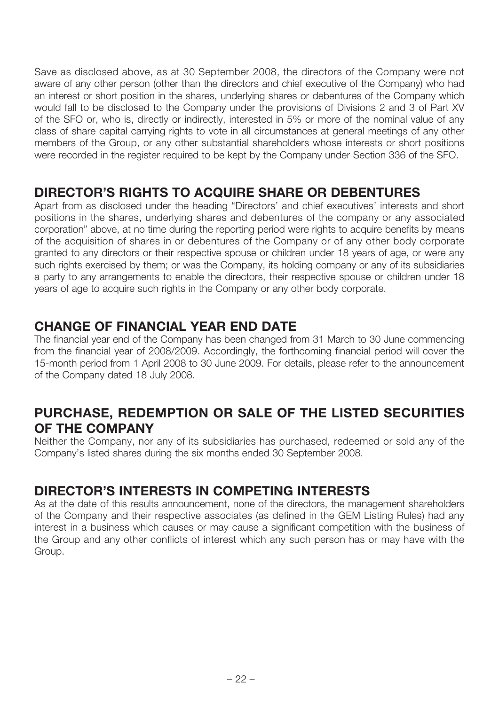Save as disclosed above, as at 30 September 2008, the directors of the Company were not aware of any other person (other than the directors and chief executive of the Company) who had an interest or short position in the shares, underlying shares or debentures of the Company which would fall to be disclosed to the Company under the provisions of Divisions 2 and 3 of Part XV of the SFO or, who is, directly or indirectly, interested in 5% or more of the nominal value of any class of share capital carrying rights to vote in all circumstances at general meetings of any other members of the Group, or any other substantial shareholders whose interests or short positions were recorded in the register required to be kept by the Company under Section 336 of the SFO.

# **DIRECTOR'S RIGHTS TO ACQUIRE SHARE OR DEBENTURES**

Apart from as disclosed under the heading "Directors' and chief executives' interests and short positions in the shares, underlying shares and debentures of the company or any associated corporation" above, at no time during the reporting period were rights to acquire benefits by means of the acquisition of shares in or debentures of the Company or of any other body corporate granted to any directors or their respective spouse or children under 18 years of age, or were any such rights exercised by them; or was the Company, its holding company or any of its subsidiaries a party to any arrangements to enable the directors, their respective spouse or children under 18 years of age to acquire such rights in the Company or any other body corporate.

# **CHANGE OF FINANCIAL YEAR END DATE**

The financial year end of the Company has been changed from 31 March to 30 June commencing from the financial year of 2008/2009. Accordingly, the forthcoming financial period will cover the 15-month period from 1 April 2008 to 30 June 2009. For details, please refer to the announcement of the Company dated 18 July 2008.

# **PURCHASE, REDEMPTION OR SALE OF THE LISTED SECURITIES OF THE COMPANY**

Neither the Company, nor any of its subsidiaries has purchased, redeemed or sold any of the Company's listed shares during the six months ended 30 September 2008.

# **DIRECTOR'S INTERESTS IN COMPETING INTERESTS**

As at the date of this results announcement, none of the directors, the management shareholders of the Company and their respective associates (as defined in the GEM Listing Rules) had any interest in a business which causes or may cause a significant competition with the business of the Group and any other conflicts of interest which any such person has or may have with the Group.